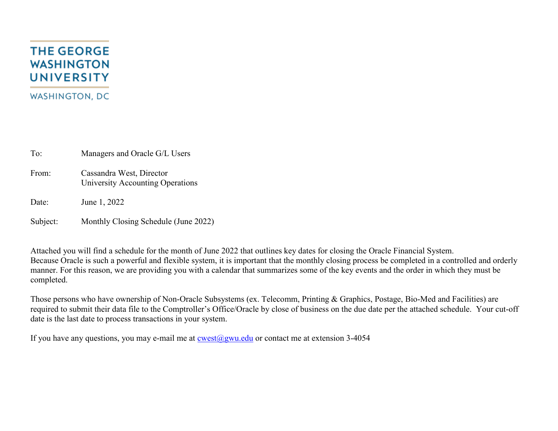## **THE GEORGE WASHINGTON UNIVERSITY WASHINGTON, DC**

To: Managers and Oracle G/L Users

From: Cassandra West, Director University Accounting Operations

Date: June 1, 2022

Subject: Monthly Closing Schedule (June 2022)

Attached you will find a schedule for the month of June 2022 that outlines key dates for closing the Oracle Financial System. Because Oracle is such a powerful and flexible system, it is important that the monthly closing process be completed in a controlled and orderly manner. For this reason, we are providing you with a calendar that summarizes some of the key events and the order in which they must be completed.

Those persons who have ownership of Non-Oracle Subsystems (ex. Telecomm, Printing & Graphics, Postage, Bio-Med and Facilities) are required to submit their data file to the Comptroller's Office/Oracle by close of business on the due date per the attached schedule. Your cut-off date is the last date to process transactions in your system.

If you have any questions, you may e-mail me at  $\frac{\text{cwest}(a)$ *gwu.edu* or contact me at extension 3-4054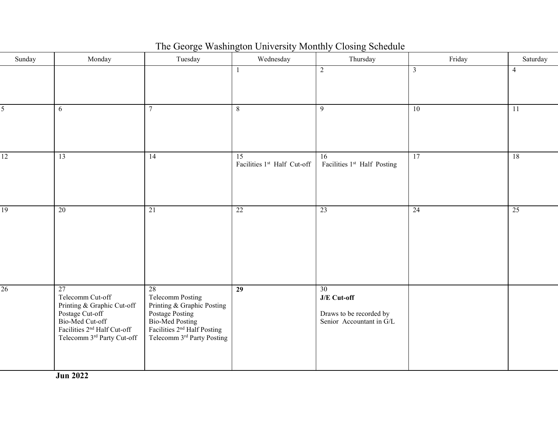| Sunday          | Monday                                                                                                                                                              | Tuesday                                                                                                                                                   | Wednesday                         | Thursday                                                                 | Friday          | Saturday       |
|-----------------|---------------------------------------------------------------------------------------------------------------------------------------------------------------------|-----------------------------------------------------------------------------------------------------------------------------------------------------------|-----------------------------------|--------------------------------------------------------------------------|-----------------|----------------|
|                 |                                                                                                                                                                     |                                                                                                                                                           | $\mathbf{1}$                      | $\overline{2}$                                                           | $\mathfrak{Z}$  | $\overline{4}$ |
| 5               | 6                                                                                                                                                                   | $\overline{7}$                                                                                                                                            | $8\,$                             | 9                                                                        | 10              | 11             |
| $\overline{12}$ | 13                                                                                                                                                                  | 14                                                                                                                                                        | 15<br>Facilities 1st Half Cut-off | 16<br>Facilities 1st Half Posting                                        | $\overline{17}$ | 18             |
| 19              | $\overline{20}$                                                                                                                                                     | $\overline{21}$                                                                                                                                           | 22                                | 23                                                                       | $\overline{24}$ | 25             |
| 26              | 27<br>Telecomm Cut-off<br>Printing & Graphic Cut-off<br>Postage Cut-off<br>Bio-Med Cut-off<br>Facilities 2 <sup>nd</sup> Half Cut-off<br>Telecomm 3rd Party Cut-off | 28<br>Telecomm Posting<br>Printing & Graphic Posting<br>Postage Posting<br>Bio-Med Posting<br>Facilities $2nd$ Half Posting<br>Telecomm 3rd Party Posting | $\overline{29}$                   | 30<br>J/E Cut-off<br>Draws to be recorded by<br>Senior Accountant in G/L |                 |                |

The George Washington University Monthly Closing Schedule

**Jun 2022**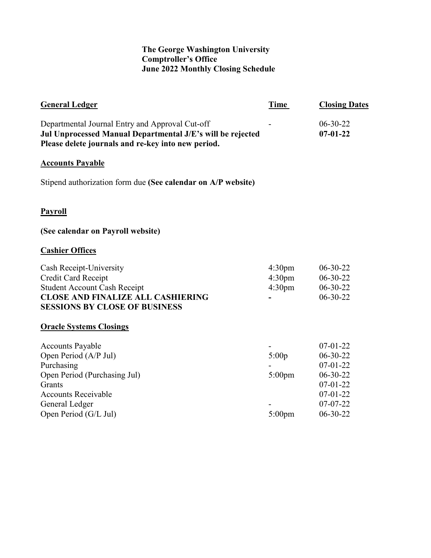## **The George Washington University Comptroller's Office June 2022 Monthly Closing Schedule**

| <b>General Ledger</b>                                                                                                                                                             | Time                                                           | <b>Closing Dates</b>                                                                                                               |
|-----------------------------------------------------------------------------------------------------------------------------------------------------------------------------------|----------------------------------------------------------------|------------------------------------------------------------------------------------------------------------------------------------|
| Departmental Journal Entry and Approval Cut-off<br>Jul Unprocessed Manual Departmental J/E's will be rejected<br>Please delete journals and re-key into new period.               |                                                                | $06 - 30 - 22$<br>$07 - 01 - 22$                                                                                                   |
| <b>Accounts Payable</b>                                                                                                                                                           |                                                                |                                                                                                                                    |
| Stipend authorization form due (See calendar on A/P website)                                                                                                                      |                                                                |                                                                                                                                    |
| <b>Payroll</b>                                                                                                                                                                    |                                                                |                                                                                                                                    |
| (See calendar on Payroll website)                                                                                                                                                 |                                                                |                                                                                                                                    |
| <b>Cashier Offices</b>                                                                                                                                                            |                                                                |                                                                                                                                    |
| Cash Receipt-University<br>Credit Card Receipt<br><b>Student Account Cash Receipt</b><br><b>CLOSE AND FINALIZE ALL CASHIERING</b><br><b>SESSIONS BY CLOSE OF BUSINESS</b>         | 4:30 <sub>pm</sub><br>4:30 <sub>pm</sub><br>4:30 <sub>pm</sub> | $06-30-22$<br>$06 - 30 - 22$<br>06-30-22<br>06-30-22                                                                               |
| <b>Oracle Systems Closings</b>                                                                                                                                                    |                                                                |                                                                                                                                    |
| <b>Accounts Payable</b><br>Open Period (A/P Jul)<br>Purchasing<br>Open Period (Purchasing Jul)<br>Grants<br><b>Accounts Receivable</b><br>General Ledger<br>Open Period (G/L Jul) | 5:00p<br>$5:00$ pm<br>$5:00 \text{pm}$                         | $07 - 01 - 22$<br>$06 - 30 - 22$<br>$07 - 01 - 22$<br>$06-30-22$<br>$07 - 01 - 22$<br>$07 - 01 - 22$<br>$07 - 07 - 22$<br>06-30-22 |
|                                                                                                                                                                                   |                                                                |                                                                                                                                    |